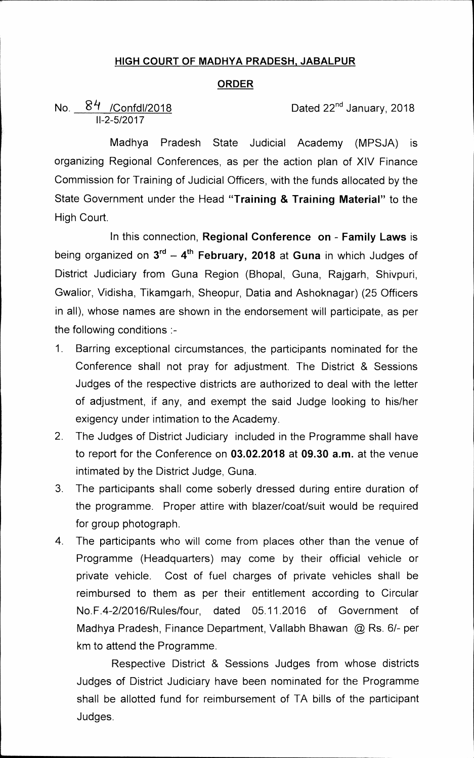## **HIGH COURT OF MADHYA PRADESH, JABALPUR**

## **ORDER**

No. 84 /Confdl/2018<br>II-2-5/2017

Dated 22<sup>nd</sup> January, 2018

**Madhya Pradesh State Judicial Academy (MPSJA) is organizing Regional Conferences, as per the action plan of XIV Finance Commission for Training of Judicial Officers, with the funds allocated by the State Government under the Head "Training & Training Material" to the High Court.** 

**In this connection, Regional Conference on - Family Laws is**  being organized on  $3^{rd} - 4^{th}$  February, 2018 at Guna in which Judges of **District Judiciary from Guna Region (Bhopal, Guna, Rajgarh, Shivpuri, Gwalior, Vidisha, Tikamgarh, Sheopur, Datia and Ashoknagar) (25 Officers in all), whose names are shown in the endorsement will participate, as per the following conditions :-** 

- $1_{\ldots}$ **Barring exceptional circumstances, the participants nominated for the Conference shall not pray for adjustment. The District & Sessions Judges of the respective districts are authorized to deal with the letter of adjustment, if any, and exempt the said Judge looking to his/her exigency under intimation to the Academy.**
- **2. The Judges of District Judiciary included in the Programme shall have to report for the Conference on 03.02.2018 at 09.30 a.m. at the venue intimated by the District Judge, Guna.**
- **3. The participants shall come soberly dressed during entire duration of the programme. Proper attire with blazer/coat/suit would be required for group photograph.**
- **4. The participants who will come from places other than the venue of Programme (Headquarters) may come by their official vehicle or private vehicle. Cost of fuel charges of private vehicles shall be reimbursed to them as per their entitlement according to Circular No.F.4-2/2016/Rules/four, dated 05.11.2016 of Government of Madhya Pradesh, Finance Department, Vallabh Bhawan @ Rs. 6/- per km to attend the Programme.**

**Respective District & Sessions Judges from whose districts Judges of District Judiciary have been nominated for the Programme shall be allotted fund for reimbursement of TA bills of the participant Judges.**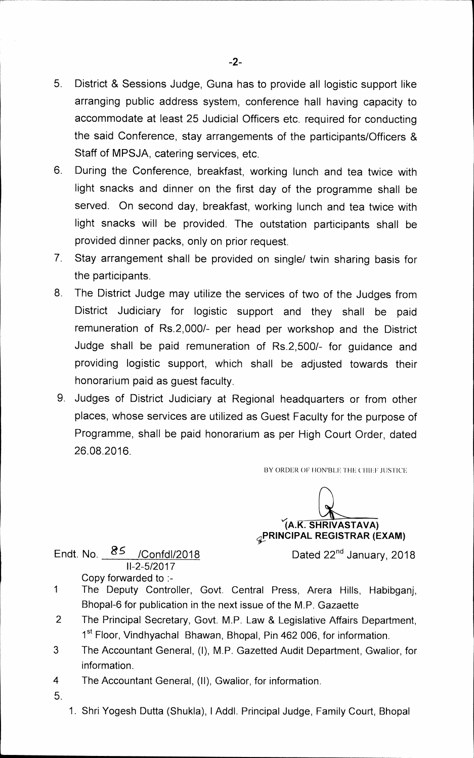- **5. District & Sessions Judge, Guna has to provide all logistic support like arranging public address system, conference hall having capacity to accommodate at least 25 Judicial Officers etc. required for conducting the said Conference, stay arrangements of the participants/Officers & Staff of MPSJA, catering services, etc.**
- **6. During the Conference, breakfast, working lunch and tea twice with light snacks and dinner on the first day of the programme shall be served. On second day, breakfast, working lunch and tea twice with light snacks will be provided. The outstation participants shall be provided dinner packs, only on prior request.**
- **7. Stay arrangement shall be provided on single/ twin sharing basis for the participants.**
- **8. The District Judge may utilize the services of two of the Judges from District Judiciary for logistic support and they shall be paid remuneration of Rs.2,000/- per head per workshop and the District Judge shall be paid remuneration of Rs.2,500/- for guidance and providing logistic support, which shall be adjusted towards their honorarium paid as guest faculty.**
- **9. Judges of District Judiciary at Regional headquarters or from other places, whose services are utilized as Guest Faculty for the purpose of Programme, shall be paid honorarium as per High Court Order, dated 26.08.2016.**

BY ORDER OF HON'BLE THE CHIEF JUSTICE

**SHRIVASTAVA) PRINCIPAL REGISTRAR (EXAM)** 

**Endt. No.** *85* **/Confd1/2018 Dated 22nd January, 2018 11-2-5/2017 Copy forwarded to :-** 

- **1 The Deputy Controller, Govt. Central Press, Arera Hills, Habibganj, Bhopal-6 for publication in the next issue of the M.P. Gazaette**
- **2 The Principal Secretary, Govt. M.P. Law & Legislative Affairs Department,**  1<sup>st</sup> Floor, Vindhyachal Bhawan, Bhopal, Pin 462 006, for information.
- **3 The Accountant General, (I), M.P. Gazetted Audit Department, Gwalior, for information.**
- **4 The Accountant General, (II), Gwalior, for information.**
- **5.**
- **1. Shri Yogesh Dutta (Shukla), I Addl. Principal Judge, Family Court, Bhopal**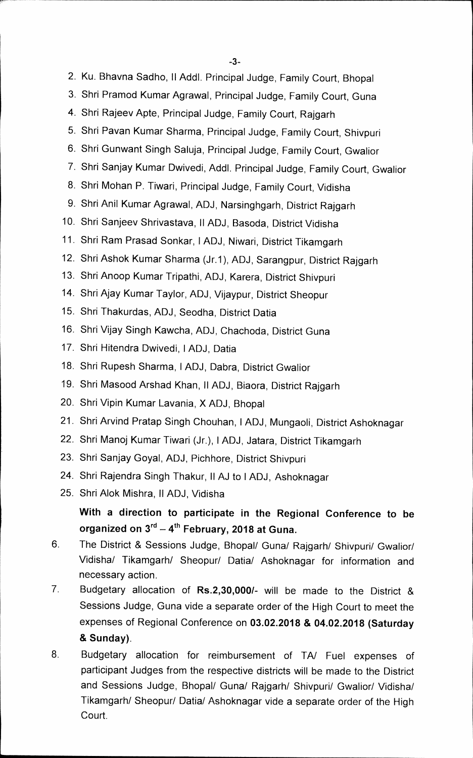**-3** 

- **2. Ku. Bhavna Sadho, II Addl. Principal Judge, Family Court, Bhopal**
- **3. Shri Pramod Kumar Agrawal, Principal Judge, Family Court, Guna**
- **4. Shri Rajeev Apte, Principal Judge, Family Court, Rajgarh**
- **5. Shri Pavan Kumar Sharma, Principal Judge, Family Court, Shivpuri**
- **6. Shri Gunwant Singh Saluja, Principal Judge, Family Court, Gwalior**
- **7. Shri Sanjay Kumar Dwivedi, Addl. Principal Judge, Family Court, Gwalior**
- **8. Shri Mohan P. Tiwari, Principal Judge, Family Court, Vidisha**
- **9. Shri Anil Kumar Agrawal, ADJ, Narsinghgarh, District Rajgarh**
- **10. Shri Sanjeev Shrivastava, II ADJ, Basoda, District Vidisha**
- **11. Shri Ram Prasad Sonkar, I ADJ, Niwari, District Tikamgarh**
- **12. Shri Ashok Kumar Sharma (Jr.1), ADJ, Sarangpur, District Rajgarh**
- **13. Shri Anoop Kumar Tripathi, ADJ, Karera, District Shivpuri**
- **14. Shri Ajay Kumar Taylor, ADJ, Vijaypur, District Sheopur**
- **15. Shri Thakurdas, ADJ, Seodha, District Datia**
- **16. Shri Vijay Singh Kawcha, ADJ, Chachoda, District Guna**
- **17. Shri Hitendra Dwivedi, I ADJ, Datia**
- **18. Shri Rupesh Sharma, I ADJ, Dabra, District Gwalior**
- **19. Shri Masood Arshad Khan, II ADJ, Biaora, District Rajgarh**
- **20. Shri Vipin Kumar Lavania, X ADJ, Bhopal**
- **21. Shri Arvind Pratap Singh Chouhan, I ADJ, Mungaoli, District Ashoknagar**
- **22. Shri Manoj Kumar Tiwari (Jr.), I ADJ, Jatara, District Tikamgarh**
- **23. Shri Sanjay Goyal, ADJ, Pichhore, District Shivpuri**
- **24. Shri Rajendra Singh Thakur, II AJ to I ADJ, Ashoknagar**
- **25. Shri Alok Mishra, II ADJ, Vidisha**

## **With a direction to participate in the Regional Conference to be organized on 3rd — 4th February, 2018 at Guna.**

- **6. The District & Sessions Judge, Bhopal/ Guna/ Rajgarh/ Shivpuri/ Gwalior/ Vidisha/ Tikamgarh/ Sheopur/ Datia/ Ashoknagar for information and necessary action.**
- **7. Budgetary allocation of Rs.2,30,000/- will be made to the District & Sessions Judge, Guna vide a separate order of the High Court to meet the expenses of Regional Conference on 03.02.2018 & 04.02.2018 (Saturday & Sunday).**
- **8. Budgetary allocation for reimbursement of TA/ Fuel expenses of participant Judges from the respective districts will be made to the District and Sessions Judge, Bhopal/ Guna/ Rajgarh/ Shivpuri/ Gwalior/ Vidisha/ Tikamgarh/ Sheopur/ Datia/ Ashoknagar vide a separate order of the High Court.**